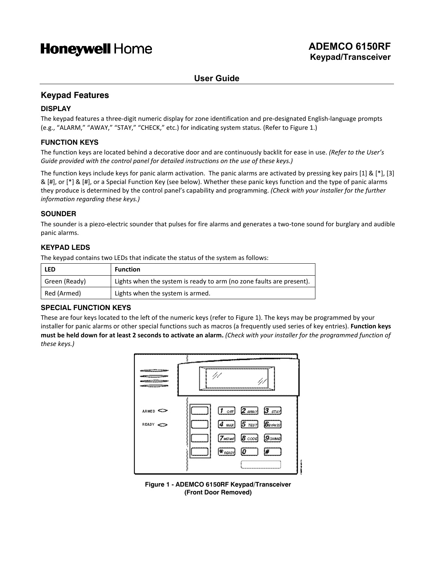# **Honeywell Home**

# **User Guide**

# **Keypad Features**

# **DISPLAY**

The keypad features a three-digit numeric display for zone identification and pre-designated English-language prompts (e.g., "ALARM," "AWAY," "STAY," "CHECK," etc.) for indicating system status. (Refer to Figure 1.)

# **FUNCTION KEYS**

The function keys are located behind a decorative door and are continuously backlit for ease in use. *(Refer to the User's Guide provided with the control panel for detailed instructions on the use of these keys.)*

The function keys include keys for panic alarm activation. The panic alarms are activated by pressing key pairs [1] & [\*], [3] & [#], or [\*] & [#], or a Special Function Key (see below). Whether these panic keys function and the type of panic alarms they produce is determined by the control panel's capability and programming. *(Check with your installer for the further information regarding these keys.)*

# **SOUNDER**

The sounder is a piezo-electric sounder that pulses for fire alarms and generates a two-tone sound for burglary and audible panic alarms.

## **KEYPAD LEDS**

The keypad contains two LEDs that indicate the status of the system as follows:

| <b>LED</b>    | <b>Function</b>                                                      |
|---------------|----------------------------------------------------------------------|
| Green (Ready) | Lights when the system is ready to arm (no zone faults are present). |
| Red (Armed)   | Lights when the system is armed.                                     |

# **SPECIAL FUNCTION KEYS**

These are four keys located to the left of the numeric keys (refer to Figure 1). The keys may be programmed by your installer for panic alarms or other special functions such as macros (a frequently used series of key entries). **Function keys must be held down for at least 2 seconds to activate an alarm.** *(Check with your installer for the programmed function of these keys.)*



**Figure 1 - ADEMCO 6150RF Keypad/Transceiver (Front Door Removed)**